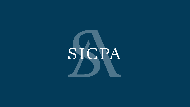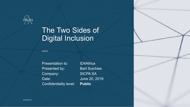

## The Two Sides of Digital Inclusion

Presentation to: ID4Africa Presented by: Bart Suichies Company: SICPA SA Confidentiality level: **Public**

 $\frac{1}{\sqrt{2}}$ 

Date: June 20, 2019

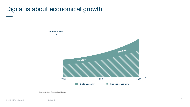## Digital is about economical growth



Source: Oxford Economics, Huawei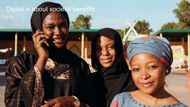## Digital is about societal benefits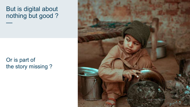## But is digital about nothing but good ?

—

## Or is part of the story missing ?

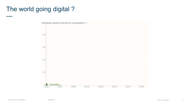## The world going digital? —

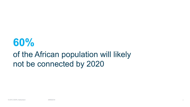# **60%**

## of the African population will likely not be connected by 2020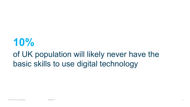## **10%** of UK population will likely never have the basic skills to use digital technology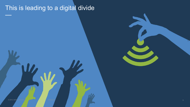## This is leading to a digital divide

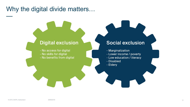## Why the digital divide matters…

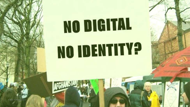# NO DIGITAL NO IDENTITY?

AFGHALLSIA

© 2019, SICPA, Switzerland 28/06/2019 12:00:00 28/06/2019 12:00:00 20:00 20:00 20:00 20:00 20:00 20:00 20:00 20:00 20:00 20:00 20:00 20:00 20:00 20:00 20:00 20:00 20:00 20:00 20:00 20:00 20:00 20:00 20:00 20:00 20:00 20:00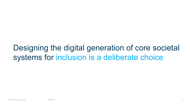## Designing the digital generation of core societal systems for inclusion is a deliberate choice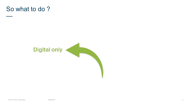

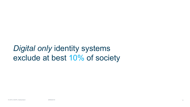## *Digital only* identity systems exclude at best 10% of society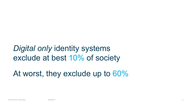## *Digital only* identity systems exclude at best 10% of society

At worst, they exclude up to 60%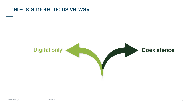## There is a more inclusive way

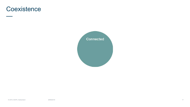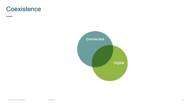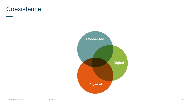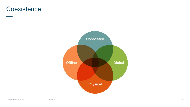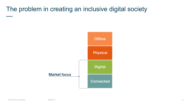The problem in creating an inclusive digital society

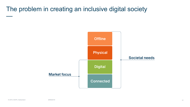The problem in creating an inclusive digital society

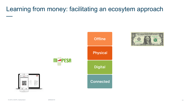## Learning from money: facilitating an ecosytem approach —







m-PESA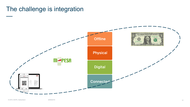## The challenge is integration



© 2019, SICPA, Switzerland

—

28/06/2019 24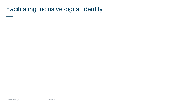```
Facilitating inclusive digital identity
```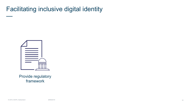Facilitating inclusive digital identity



Provide regulatory framework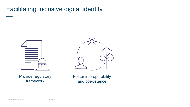## Facilitating inclusive digital identity



Provide regulatory framework



Foster interoperability and coexistence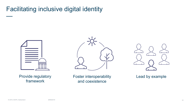## Facilitating inclusive digital identity



Provide regulatory framework

Foster interoperability and coexistence



Lead by example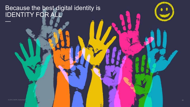#### Because the best digital identity is IDENTITY FOR ALL —